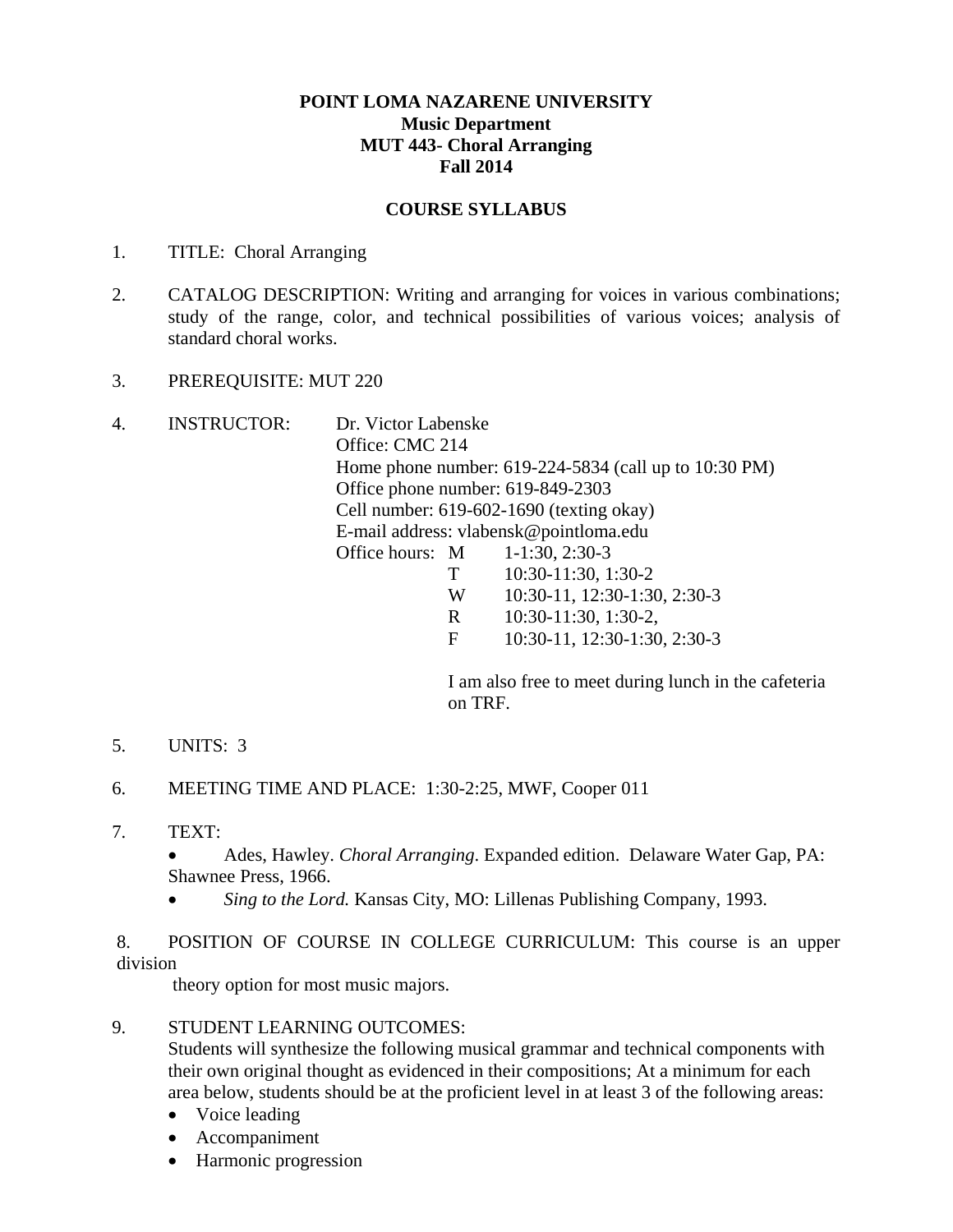# **POINT LOMA NAZARENE UNIVERSITY Music Department MUT 443- Choral Arranging Fall 2014**

# **COURSE SYLLABUS**

- 1. TITLE: Choral Arranging
- 2. CATALOG DESCRIPTION: Writing and arranging for voices in various combinations; study of the range, color, and technical possibilities of various voices; analysis of standard choral works.
- 3. PREREQUISITE: MUT 220
- 4. INSTRUCTOR: Dr. Victor Labenske Office: CMC 214 Home phone number: 619-224-5834 (call up to 10:30 PM) Office phone number: 619-849-2303 Cell number: 619-602-1690 (texting okay) E-mail address: vlabensk@pointloma.edu Office hours: M 1-1:30, 2:30-3 T 10:30-11:30, 1:30-2 W 10:30-11, 12:30-1:30, 2:30-3 R 10:30-11:30, 1:30-2, F 10:30-11, 12:30-1:30, 2:30-3

 I am also free to meet during lunch in the cafeteria on TRF.

- 5. UNITS: 3
- 6. MEETING TIME AND PLACE: 1:30-2:25, MWF, Cooper 011
- 7. TEXT:
	- Ades, Hawley. *Choral Arranging*. Expanded edition. Delaware Water Gap, PA: Shawnee Press, 1966.
	- *Sing to the Lord.* Kansas City, MO: Lillenas Publishing Company, 1993.

8. POSITION OF COURSE IN COLLEGE CURRICULUM: This course is an upper division

theory option for most music majors.

9. STUDENT LEARNING OUTCOMES:

Students will synthesize the following musical grammar and technical components with their own original thought as evidenced in their compositions; At a minimum for each area below, students should be at the proficient level in at least 3 of the following areas:

- Voice leading
- Accompaniment
- Harmonic progression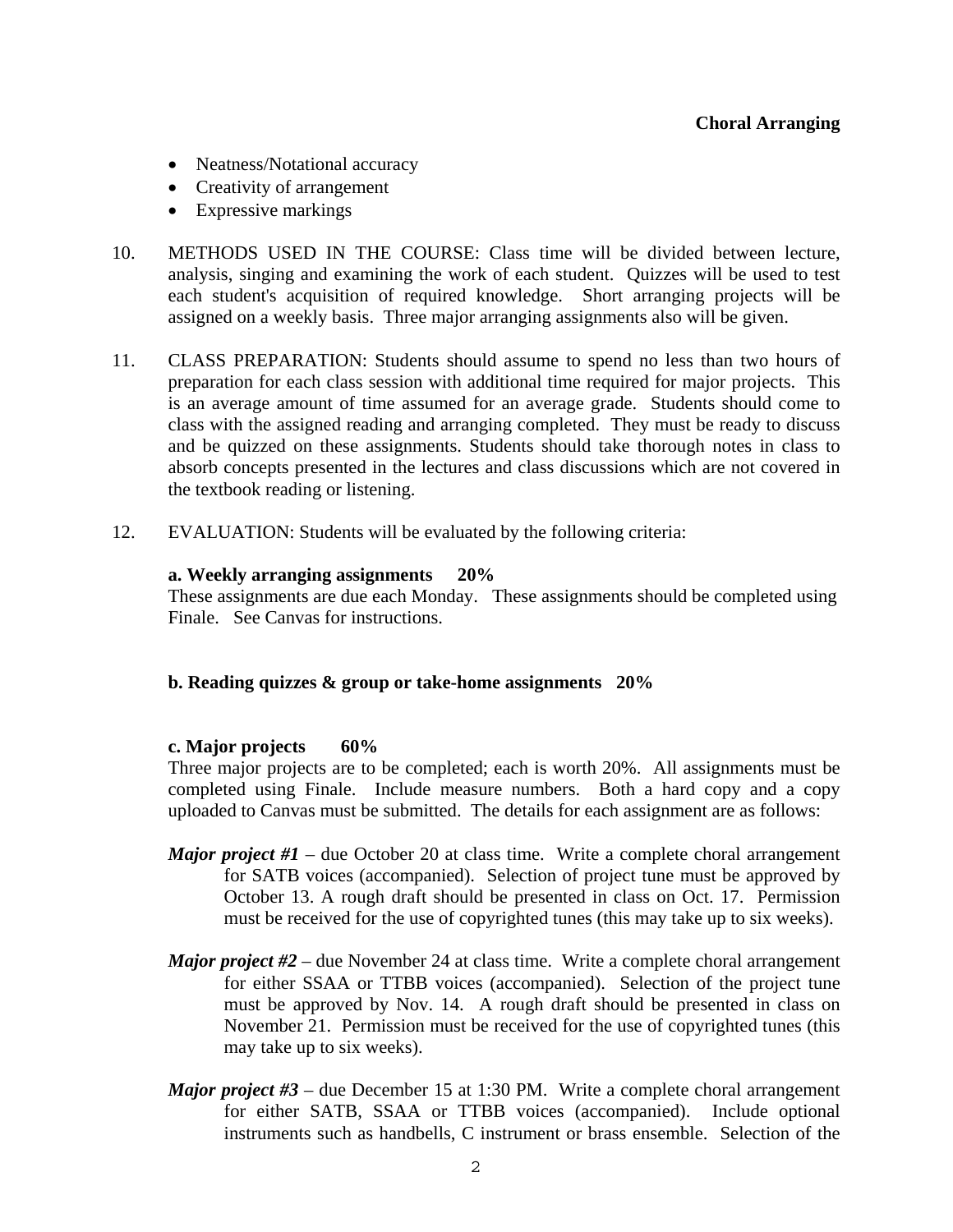- Neatness/Notational accuracy
- Creativity of arrangement
- Expressive markings
- 10. METHODS USED IN THE COURSE: Class time will be divided between lecture, analysis, singing and examining the work of each student. Quizzes will be used to test each student's acquisition of required knowledge. Short arranging projects will be assigned on a weekly basis. Three major arranging assignments also will be given.
- 11. CLASS PREPARATION: Students should assume to spend no less than two hours of preparation for each class session with additional time required for major projects. This is an average amount of time assumed for an average grade. Students should come to class with the assigned reading and arranging completed. They must be ready to discuss and be quizzed on these assignments. Students should take thorough notes in class to absorb concepts presented in the lectures and class discussions which are not covered in the textbook reading or listening.
- 12. EVALUATION: Students will be evaluated by the following criteria:

## **a. Weekly arranging assignments 20%**

 These assignments are due each Monday. These assignments should be completed using Finale. See Canvas for instructions.

# **b. Reading quizzes & group or take-home assignments 20%**

## **c. Major projects 60%**

Three major projects are to be completed; each is worth 20%. All assignments must be completed using Finale. Include measure numbers. Both a hard copy and a copy uploaded to Canvas must be submitted. The details for each assignment are as follows:

- *Major project #1* due October 20 at class time. Write a complete choral arrangement for SATB voices (accompanied). Selection of project tune must be approved by October 13. A rough draft should be presented in class on Oct. 17. Permission must be received for the use of copyrighted tunes (this may take up to six weeks).
- *Major project #2* due November 24 at class time. Write a complete choral arrangement for either SSAA or TTBB voices (accompanied). Selection of the project tune must be approved by Nov. 14. A rough draft should be presented in class on November 21. Permission must be received for the use of copyrighted tunes (this may take up to six weeks).
- *Major project #3* due December 15 at 1:30 PM. Write a complete choral arrangement for either SATB, SSAA or TTBB voices (accompanied). Include optional instruments such as handbells, C instrument or brass ensemble. Selection of the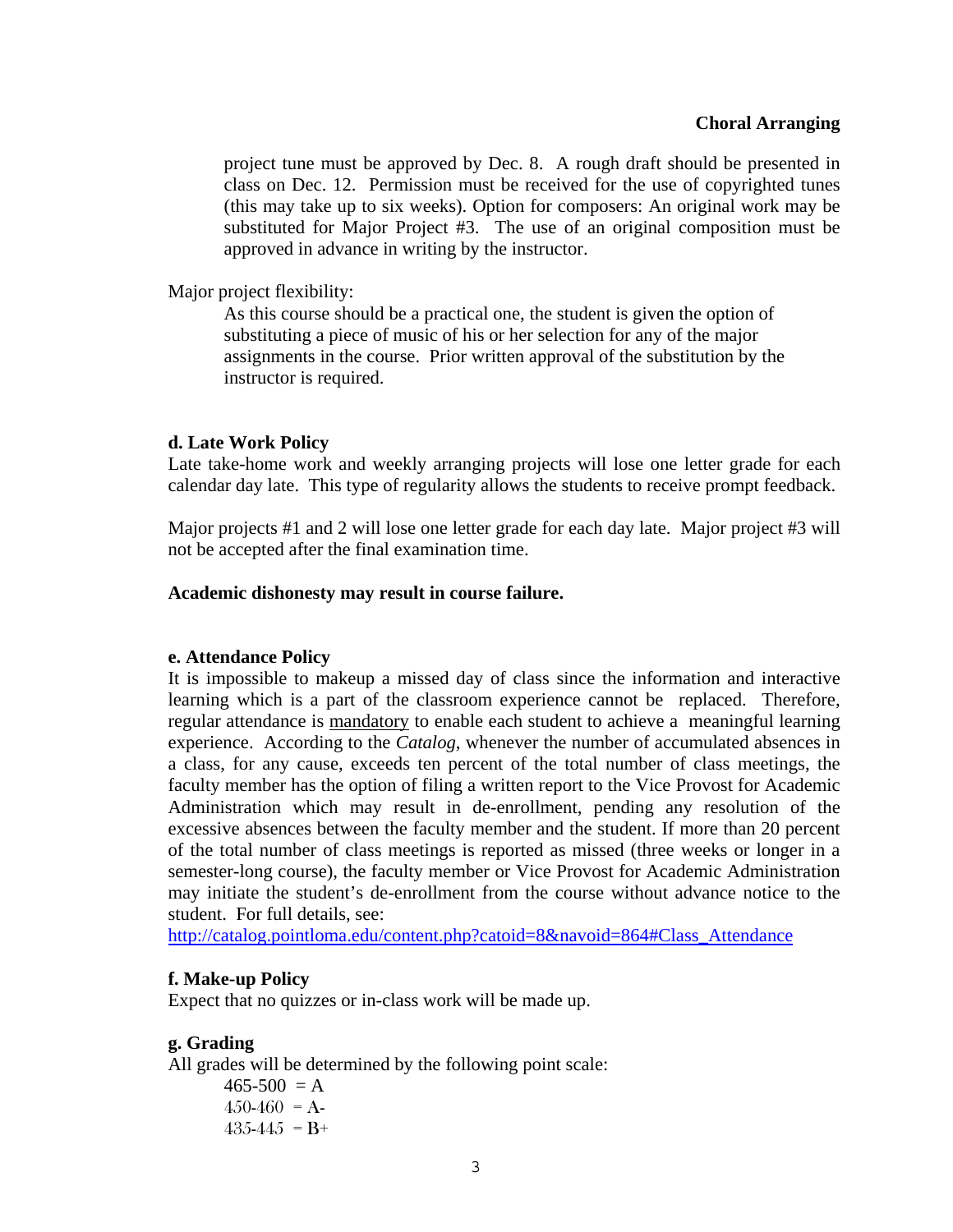project tune must be approved by Dec. 8. A rough draft should be presented in class on Dec. 12. Permission must be received for the use of copyrighted tunes (this may take up to six weeks). Option for composers: An original work may be substituted for Major Project #3. The use of an original composition must be approved in advance in writing by the instructor.

Major project flexibility:

 As this course should be a practical one, the student is given the option of substituting a piece of music of his or her selection for any of the major assignments in the course. Prior written approval of the substitution by the instructor is required.

### **d. Late Work Policy**

Late take-home work and weekly arranging projects will lose one letter grade for each calendar day late. This type of regularity allows the students to receive prompt feedback.

Major projects #1 and 2 will lose one letter grade for each day late. Major project #3 will not be accepted after the final examination time.

### **Academic dishonesty may result in course failure.**

#### **e. Attendance Policy**

 It is impossible to makeup a missed day of class since the information and interactive learning which is a part of the classroom experience cannot be replaced. Therefore, regular attendance is mandatory to enable each student to achieve a meaningful learning experience. According to the *Catalog*, whenever the number of accumulated absences in a class, for any cause, exceeds ten percent of the total number of class meetings, the faculty member has the option of filing a written report to the Vice Provost for Academic Administration which may result in de-enrollment, pending any resolution of the excessive absences between the faculty member and the student. If more than 20 percent of the total number of class meetings is reported as missed (three weeks or longer in a semester-long course), the faculty member or Vice Provost for Academic Administration may initiate the student's de-enrollment from the course without advance notice to the student. For full details, see:

http://catalog.pointloma.edu/content.php?catoid=8&navoid=864#Class\_Attendance

## **f. Make-up Policy**

Expect that no quizzes or in-class work will be made up.

#### **g. Grading**

All grades will be determined by the following point scale:

 $465-500 = A$  $450-460 = A$  $435-445 = B+$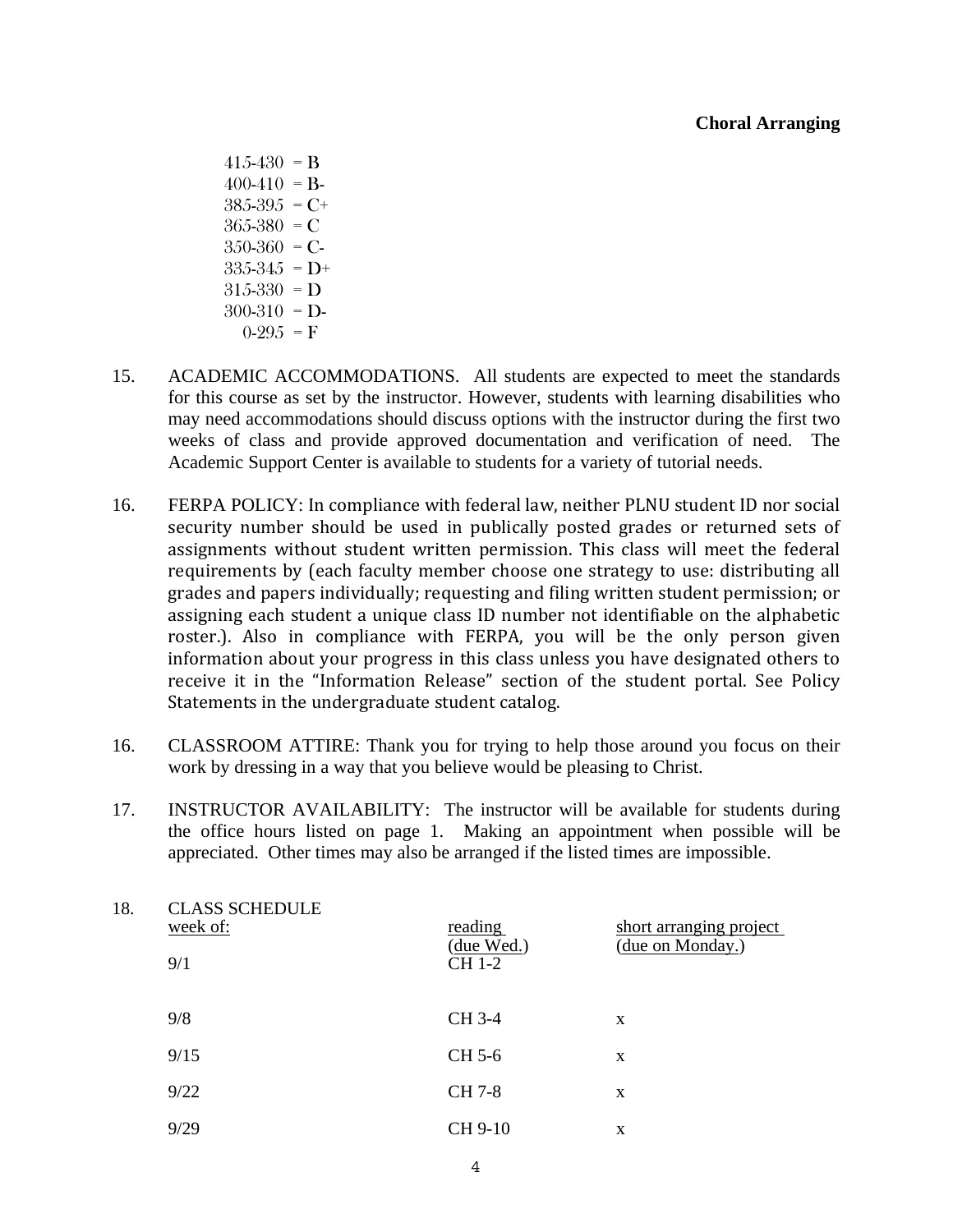- $415-430 = B$  $400-410 = B$  $385-395 = C+$  $365 - 380 = C$  $350-360$  = C- $335-345 = D+$  $315-330$  = D  $300-310$  = D- $0-295 = F$
- 15. ACADEMIC ACCOMMODATIONS. All students are expected to meet the standards for this course as set by the instructor. However, students with learning disabilities who may need accommodations should discuss options with the instructor during the first two weeks of class and provide approved documentation and verification of need. The Academic Support Center is available to students for a variety of tutorial needs.
- 16. FERPA POLICY: In compliance with federal law, neither PLNU student ID nor social security number should be used in publically posted grades or returned sets of assignments without student written permission. This class will meet the federal requirements by (each faculty member choose one strategy to use: distributing all grades and papers individually; requesting and filing written student permission; or assigning each student a unique class ID number not identifiable on the alphabetic roster.). Also in compliance with FERPA, you will be the only person given information about your progress in this class unless you have designated others to receive it in the "Information Release" section of the student portal. See Policy Statements in the undergraduate student catalog.
- 16. CLASSROOM ATTIRE: Thank you for trying to help those around you focus on their work by dressing in a way that you believe would be pleasing to Christ.
- 17. INSTRUCTOR AVAILABILITY: The instructor will be available for students during the office hours listed on page 1. Making an appointment when possible will be appreciated. Other times may also be arranged if the listed times are impossible.

| 18. | <b>CLASS SCHEDULE</b><br>week of:<br>9/1 | reading<br>(due Wed.)<br>CH 1-2 | short arranging project<br>(due on Monday.) |
|-----|------------------------------------------|---------------------------------|---------------------------------------------|
|     | 9/8                                      | CH 3-4                          | X                                           |
|     | 9/15                                     | CH 5-6                          | X                                           |
|     | 9/22                                     | <b>CH</b> 7-8                   | X                                           |
|     | 9/29                                     | CH 9-10                         | X                                           |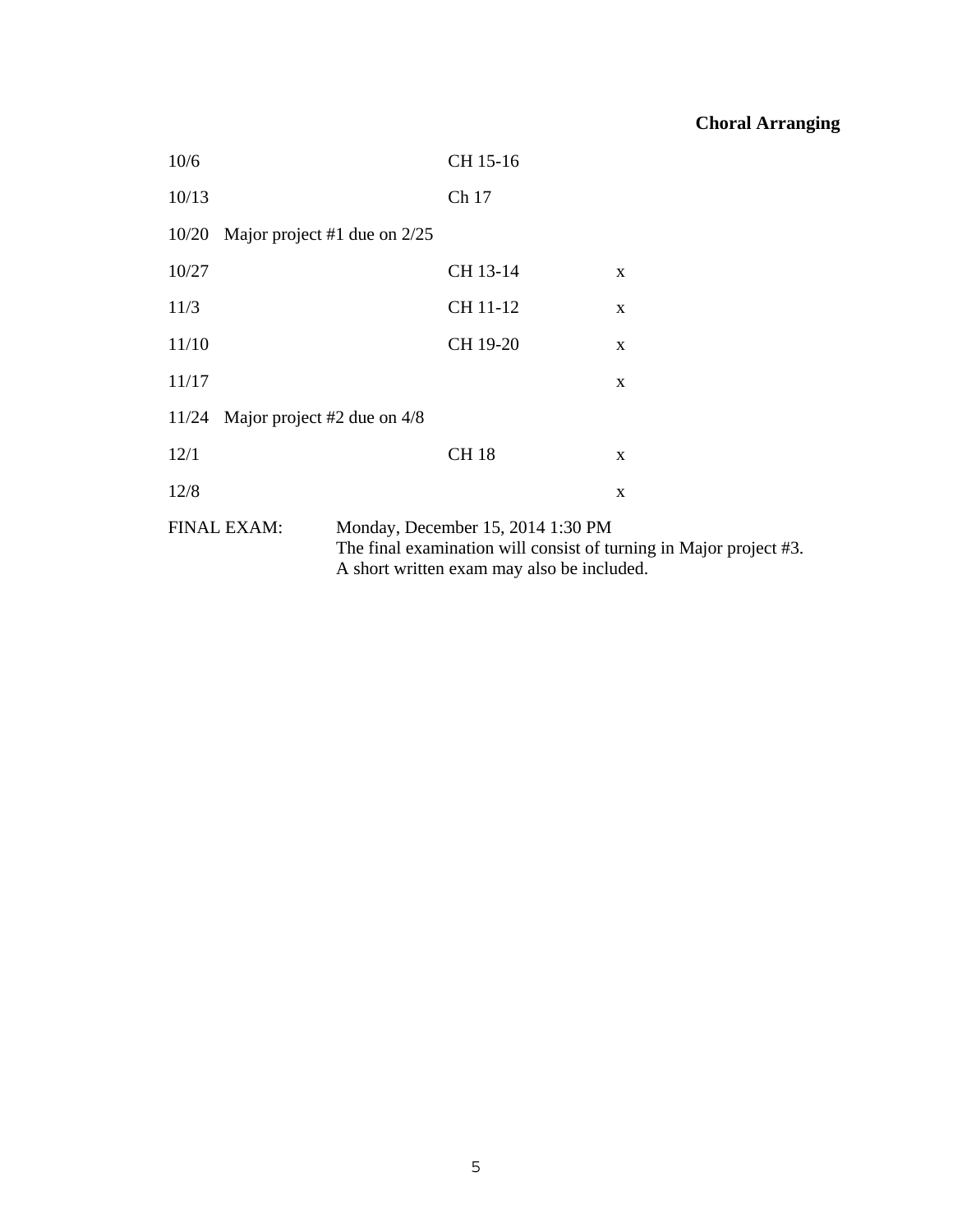| 10/6                                |                                | CH 15-16                                                                                                                                              |   |  |  |
|-------------------------------------|--------------------------------|-------------------------------------------------------------------------------------------------------------------------------------------------------|---|--|--|
| 10/13                               |                                | Ch 17                                                                                                                                                 |   |  |  |
| 10/20                               | Major project #1 due on $2/25$ |                                                                                                                                                       |   |  |  |
| 10/27                               |                                | CH 13-14                                                                                                                                              | X |  |  |
| 11/3                                |                                | CH 11-12                                                                                                                                              | X |  |  |
| 11/10                               |                                | CH 19-20                                                                                                                                              | X |  |  |
| 11/17                               |                                |                                                                                                                                                       | X |  |  |
| 11/24 Major project #2 due on $4/8$ |                                |                                                                                                                                                       |   |  |  |
| 12/1                                |                                | <b>CH18</b>                                                                                                                                           | X |  |  |
| 12/8                                |                                |                                                                                                                                                       | X |  |  |
| <b>FINAL EXAM:</b>                  |                                | Monday, December 15, 2014 1:30 PM<br>The final examination will consist of turning in Major project #3.<br>A short written exam may also be included. |   |  |  |